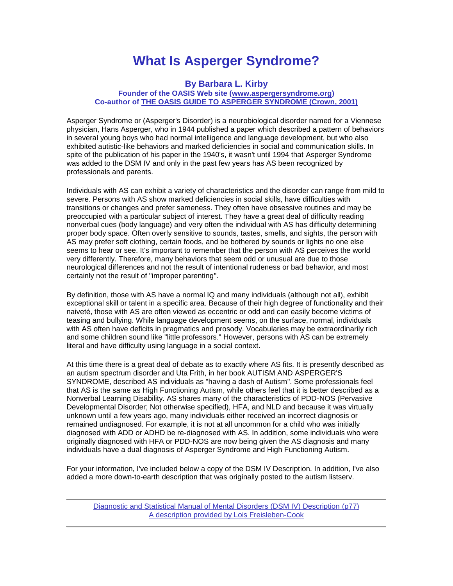# **What Is Asperger Syndrome?**

### **By Barbara L. Kirby**

#### **Founder of the OASIS Web site [\(www.aspergersyndrome.org\)](http://www.aspergersyndrome.org/) Co-author of [THE OASIS GUIDE TO ASPERGER SYNDROME \(Crown, 2001\)](http://www.aspergersyndrome.org/oasis_guide.html)**

Asperger Syndrome or (Asperger's Disorder) is a neurobiological disorder named for a Viennese physician, Hans Asperger, who in 1944 published a paper which described a pattern of behaviors in several young boys who had normal intelligence and language development, but who also exhibited autistic-like behaviors and marked deficiencies in social and communication skills. In spite of the publication of his paper in the 1940's, it wasn't until 1994 that Asperger Syndrome was added to the DSM IV and only in the past few years has AS been recognized by professionals and parents.

Individuals with AS can exhibit a variety of characteristics and the disorder can range from mild to severe. Persons with AS show marked deficiencies in social skills, have difficulties with transitions or changes and prefer sameness. They often have obsessive routines and may be preoccupied with a particular subject of interest. They have a great deal of difficulty reading nonverbal cues (body language) and very often the individual with AS has difficulty determining proper body space. Often overly sensitive to sounds, tastes, smells, and sights, the person with AS may prefer soft clothing, certain foods, and be bothered by sounds or lights no one else seems to hear or see. It's important to remember that the person with AS perceives the world very differently. Therefore, many behaviors that seem odd or unusual are due to those neurological differences and not the result of intentional rudeness or bad behavior, and most certainly not the result of "improper parenting".

By definition, those with AS have a normal IQ and many individuals (although not all), exhibit exceptional skill or talent in a specific area. Because of their high degree of functionality and their naiveté, those with AS are often viewed as eccentric or odd and can easily become victims of teasing and bullying. While language development seems, on the surface, normal, individuals with AS often have deficits in pragmatics and prosody. Vocabularies may be extraordinarily rich and some children sound like "little professors." However, persons with AS can be extremely literal and have difficulty using language in a social context.

At this time there is a great deal of debate as to exactly where AS fits. It is presently described as an autism spectrum disorder and Uta Frith, in her book AUTISM AND ASPERGER'S SYNDROME, described AS individuals as "having a dash of Autism". Some professionals feel that AS is the same as High Functioning Autism, while others feel that it is better described as a Nonverbal Learning Disability. AS shares many of the characteristics of PDD-NOS (Pervasive Developmental Disorder; Not otherwise specified), HFA, and NLD and because it was virtually unknown until a few years ago, many individuals either received an incorrect diagnosis or remained undiagnosed. For example, it is not at all uncommon for a child who was initially diagnosed with ADD or ADHD be re-diagnosed with AS. In addition, some individuals who were originally diagnosed with HFA or PDD-NOS are now being given the AS diagnosis and many individuals have a dual diagnosis of Asperger Syndrome and High Functioning Autism.

For your information, I've included below a copy of the DSM IV Description. In addition, I've also added a more down-to-earth description that was originally posted to the autism listserv.

[Diagnostic and Statistical Manual of Mental Disorders \(DSM IV\) Description](http://www.udel.edu/bkirby/asperger/#DSM) (p77) [A description provided by Lois Freisleben-Cook](http://www.udel.edu/bkirby/asperger/#LOIS)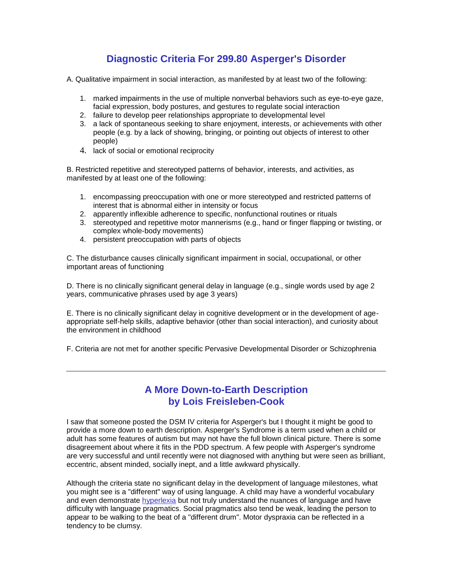## **Diagnostic Criteria For 299.80 Asperger's Disorder**

- A. Qualitative impairment in social interaction, as manifested by at least two of the following:
	- 1. marked impairments in the use of multiple nonverbal behaviors such as eye-to-eye gaze, facial expression, body postures, and gestures to regulate social interaction
	- 2. failure to develop peer relationships appropriate to developmental level
	- 3. a lack of spontaneous seeking to share enjoyment, interests, or achievements with other people (e.g. by a lack of showing, bringing, or pointing out objects of interest to other people)
	- 4. lack of social or emotional reciprocity

B. Restricted repetitive and stereotyped patterns of behavior, interests, and activities, as manifested by at least one of the following:

- 1. encompassing preoccupation with one or more stereotyped and restricted patterns of interest that is abnormal either in intensity or focus
- 2. apparently inflexible adherence to specific, nonfunctional routines or rituals
- 3. stereotyped and repetitive motor mannerisms (e.g., hand or finger flapping or twisting, or complex whole-body movements)
- 4. persistent preoccupation with parts of objects

C. The disturbance causes clinically significant impairment in social, occupational, or other important areas of functioning

D. There is no clinically significant general delay in language (e.g., single words used by age 2 years, communicative phrases used by age 3 years)

E. There is no clinically significant delay in cognitive development or in the development of ageappropriate self-help skills, adaptive behavior (other than social interaction), and curiosity about the environment in childhood

F. Criteria are not met for another specific Pervasive Developmental Disorder or Schizophrenia

### **A More Down-to-Earth Description by Lois Freisleben-Cook**

I saw that someone posted the DSM IV criteria for Asperger's but I thought it might be good to provide a more down to earth description. Asperger's Syndrome is a term used when a child or adult has some features of autism but may not have the full blown clinical picture. There is some disagreement about where it fits in the PDD spectrum. A few people with Asperger's syndrome are very successful and until recently were not diagnosed with anything but were seen as brilliant, eccentric, absent minded, socially inept, and a little awkward physically.

Although the criteria state no significant delay in the development of language milestones, what you might see is a "different" way of using language. A child may have a wonderful vocabulary and even demonstrate [hyperlexia](http://www.hyperlexia.org/) but not truly understand the nuances of language and have difficulty with language pragmatics. Social pragmatics also tend be weak, leading the person to appear to be walking to the beat of a "different drum". Motor dyspraxia can be reflected in a tendency to be clumsy.